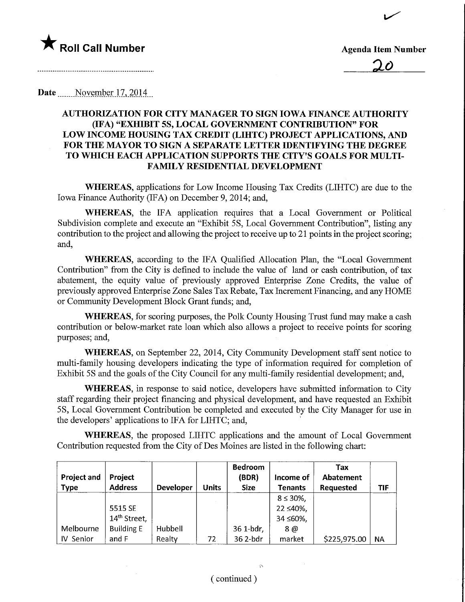

 $\overline{ }$ 

<u>20</u>

## Date November 17, 2014

## AUTHORIZATION FOR CITY MANAGER TO SIGN IOWA FINANCE AUTHOMTY (IFA) "EXHIBIT 5S, LOCAL GOVERNMENT CONTRIBUTION" FOR LOW INCOME HOUSING TAX CREDIT (LIHTC) PROJECT APPLICATIONS, AND FOR THE MAYOR TO SIGN A SEPARATE LETTER IDENTIFYING THE DEGREE TO WHICH EACH APPLICATION SUPPORTS THE CITY'S GOALS FOR MULTI-FAMILY RESIDENTIAL DEVELOPMENT

WHEREAS, applications for Low Income Housing Tax Credits (LIHTC) are due to the Iowa Finance Authority (IFA) on December 9, 2014; and,

WHEREAS, the IFA application requires that a Local Government or Political Subdivision complete and execute an "Exhibit 5S, Local Government Contribution", listing any contribution to the project and allowing the project to receive up to 21 points in the project scoring; and,

WHEREAS, according to the IFA Qualified Allocation Plan, the "Local Government Contribution" from the City is defined to include the value of land or cash contribution, of tax abatement, the equity value of previously approved Enterprise Zone Credits, the value of previously approved Enterprise Zone Sales Tax Rebate, Tax Increment Financing, and any HOME or Community Development Block Grant funds; and,

WHEREAS, for scoring purposes, the Polk County Housing Trust fund may make a cash contribution or below-market rate loan which also allows a project to receive points for scoring purposes; and,

WHEREAS, on September 22, 2014, City Community Development staff sent notice to multi-family housing developers indicating the type of information required for completion of Exhibit 5S and the goals of the City Council for any multi-family residential development; and,

WHEREAS, in response to said notice, developers have submitted information to City staff regarding their project financing and physical development, and have requested an Exhibit 5S, Local Government Contribution be completed and executed by the City Manager for use in the developers' applications to IFA for LIHTC; and,

WHEREAS, the proposed LIHTC applications and the amount of Local Government Contribution requested from the City of Des Moines are listed in the following chart:

| <b>Project and</b><br><b>Type</b> | Project<br><b>Address</b> | <b>Developer</b> | <b>Units</b> | <b>Bedroom</b><br>(BDR)<br><b>Size</b> | Income of<br><b>Tenants</b> | Tax<br>Abatement<br><b>Requested</b> | TIF       |
|-----------------------------------|---------------------------|------------------|--------------|----------------------------------------|-----------------------------|--------------------------------------|-----------|
|                                   |                           |                  |              |                                        | $8 \le 30\%$ ,              |                                      |           |
|                                   | 5515 SE                   |                  |              |                                        | 22 ≤40%,                    |                                      |           |
|                                   | 14 <sup>th</sup> Street,  |                  |              |                                        | $34 \leq 60\%$              |                                      |           |
| Melbourne                         | <b>Building E</b>         | Hubbell          |              | 36 1-bdr,                              | 8@                          |                                      |           |
| IV Senior                         | and F                     | Realty           | 72           | 36 2-bdr                               | market                      | \$225,975.00                         | <b>NA</b> |

 $\widehat{\mathcal{D}}$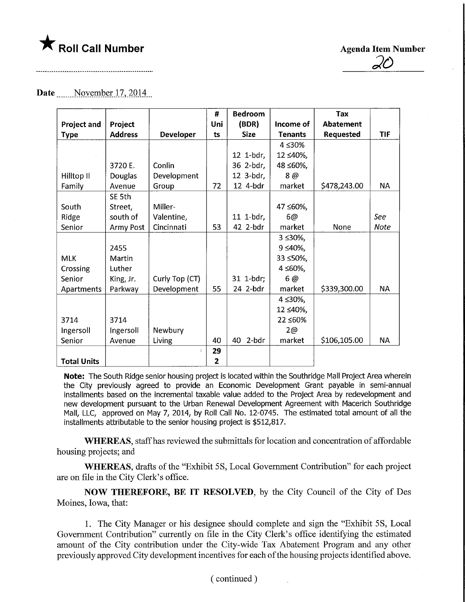

36

## Date November 17, 2014

|                    |                |                  | #            | <b>Bedroom</b> |                 | <b>Tax</b>       |           |
|--------------------|----------------|------------------|--------------|----------------|-----------------|------------------|-----------|
| <b>Project and</b> | Project        |                  | Uni          | (BDR)          | Income of       | <b>Abatement</b> |           |
| <b>Type</b>        | <b>Address</b> | <b>Developer</b> | ts           | <b>Size</b>    | <b>Tenants</b>  | <b>Requested</b> | TIF       |
|                    |                |                  |              |                | 4 ≤30%          |                  |           |
|                    |                |                  |              | 12 1-bdr,      | 12 ≤40%,        |                  |           |
|                    | 3720 E.        | Conlin           |              | 36 2-bdr,      | 48 ≤60%,        |                  |           |
| Hilltop II         | Douglas        | Development      |              | 12 3-bdr,      | 8 @             |                  |           |
| Family             | Avenue         | Group            | 72           | 12 4-bdr       | market          | \$478,243.00     | <b>NA</b> |
|                    | SE 5th         |                  |              |                |                 |                  |           |
| South              | Street,        | Miller-          |              |                | 47 ≤60%,        |                  |           |
| Ridge              | south of       | Valentine,       |              | 11 1-bdr,      | 6@              |                  | See       |
| Senior             | Army Post      | Cincinnati       | 53           | 42 2-bdr       | market          | None             | Note      |
|                    |                |                  |              |                | $3 \le 30\%$    |                  |           |
|                    | 2455           |                  |              |                | $9 \le 40\%$ ,  |                  |           |
| <b>MLK</b>         | Martin         |                  |              |                | 33 ≤50%,        |                  |           |
| Crossing           | Luther         |                  |              |                | $4 \leq 60\%$ , |                  |           |
| Senior             | King, Jr.      | Curly Top (CT)   |              | 31 1-bdr;      | 6 @             |                  |           |
| Apartments         | Parkway        | Development      | 55           | 24 2-bdr       | market          | \$339,300.00     | <b>NA</b> |
|                    |                |                  |              |                | 4≤30%,          |                  |           |
|                    |                |                  |              |                | 12 ≤40%,        |                  |           |
| 3714               | 3714           |                  |              |                | 22 ≤60%         |                  |           |
| Ingersoll          | Ingersoll      | Newbury          |              |                | 2@              |                  |           |
| Senior             | Avenue         | Living           | 40           | 2-bdr<br>40    | market          | \$106,105.00     | <b>NA</b> |
|                    |                |                  | 29           |                |                 |                  |           |
| <b>Total Units</b> |                |                  | $\mathbf{2}$ |                |                 |                  |           |

Note: The South Ridge senior housing project is located within the Southridge Mall Project Area wherein the City previously agreed to provide an Economic Development Grant payable in semi-annual installments based on the incremental taxable value added to the Project Area by redevelopment and new development pursuant to the Urban Renewal Development Agreement with Macerich Southridge Mali, LLC, approved on May 7, 2014, by Roll Call No. 12-0745. The estimated total amount of all the installments attributable to the senior housing project is \$512,817.

WHEREAS, staff has reviewed the submittals for location and concentration of affordable housing projects; and

WHEREAS, drafts of the "Exhibit 58, Local Government Contribution" for each project are on file in the City Clerk's office.

NOW THEREFORE, BE IT RESOLVED, by the City Council of the City of Des Moines, Iowa, that:

1. The City Manager or his designee should complete and sign the "Exhibit 5S, Local Government Contribution" currently on file in the City Clerk's office identifying the estimated amount of the City contribution under the City-wide Tax Abatement Program, and any other previously approved City development incentives for each of the housing projects identified above.